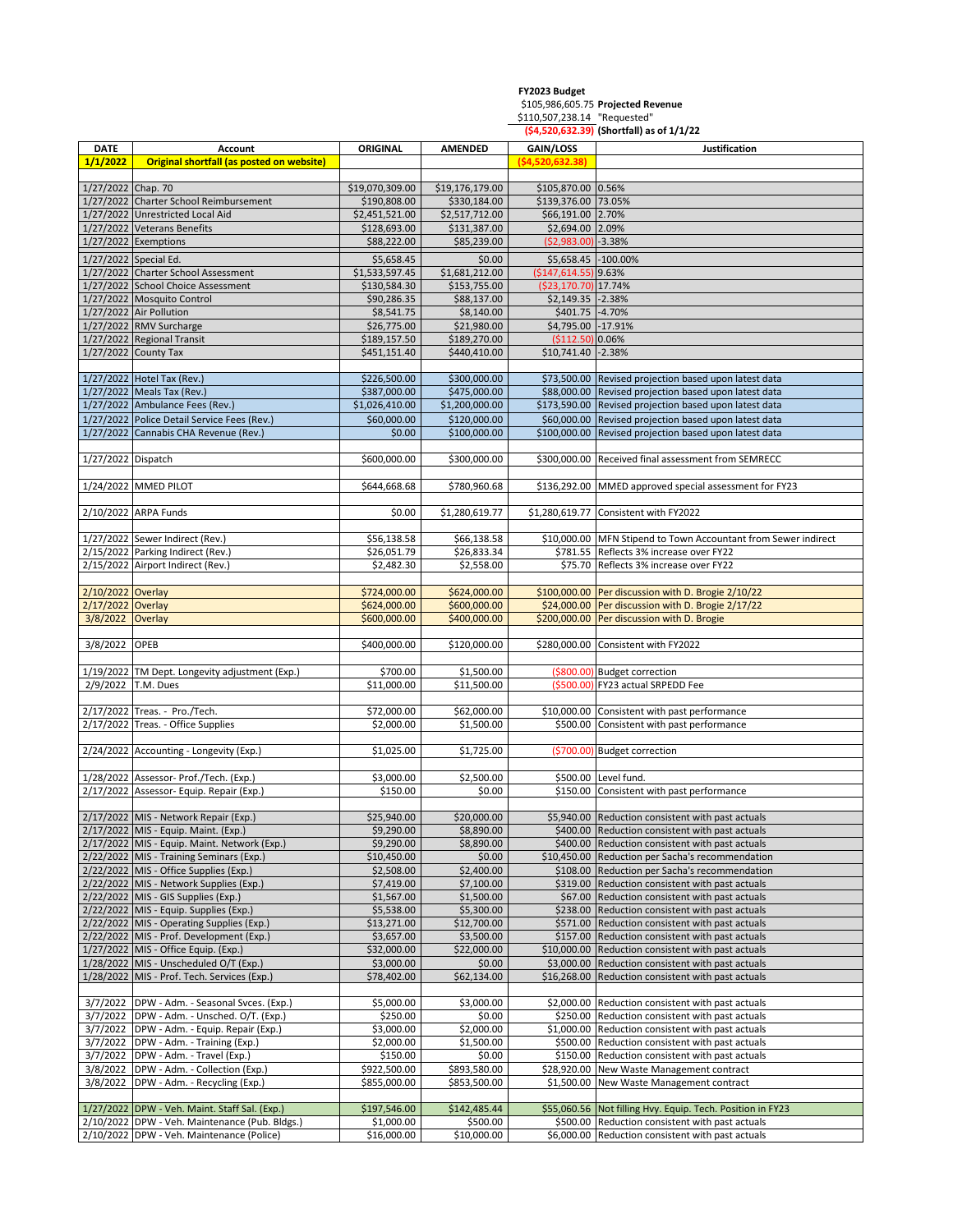## **FY2023 Budget** \$105,986,605.75 **Projected Revenue** \$110,507,238.14 "Requested" **(\$4,520,632.39) (Shortfall) as of 1/1/22** DATE **Account CORIGINAL AMENDED GAIN/LOSS** DATE Dustification **1/1/2022 Original shortfall (as posted on website) (\$4,520,632.38)** 1/27/2022 Chap. 70 \$19,070,309.00 \$19,176,179.00 \$105,870.00 0.56% 1/27/2022 Charter School Reimbursement \$190,808.00 \$330,184.00 \$139,376.00 73.05% 1/27/2022 Unrestricted Local Aid \$2,451,521.00 \$2,517,712.00 \$66,191.00 2.70% 1/27/2022 Veterans Benefits <br>1/27/2022 Exemptions <br>1/27/2022 Exemptions <br>388,222.00 \$88,222.00 \$25,239.00 (\$2,983.00) -3.389 1/27/2022 Exemptions **\$88,222.00** \$88,222.00 (\$2,983.00) -3.38% 1/27/2022 Special Ed. <br>\$5,658.45 \$0.00 \$5,658.45 \$0.00 \$5,658.45 <61.100.00 \$1,658.45 <62.100.00 \$1,658.45 <62.100.00 \$1,658.45 <62.100.00 \$1,658.45 <62.100.00 \$1,658.45 <62.100.00 \$1,658.45 <62.100.00 \$1,658.45 <62.100.00 1/27/2022 Charter School Assessment \$1,533,597.45 \$1,681,212.00 (\$147,614.55) 9.63% 1/27/2022 School Choice Assessment \$130,584.30 \$153,755.00 (\$23,170.70) 17.74% 1/27/2022 Mosquito Control \$90,286.35 \$88,137.00 \$2,149.35 -2.38% 1/27/2022 Air Pollution<br>1/27/2022 RMV Surcharge 6.14000 \$401.75 · 4.70%<br>526.775.00 \$21.980.00 \$4.795.00 · 17.91% 1/27/2022 RMV Surcharge  $\sim$  \$26,775.00 1/27/2022 Regional Transit <br>1/27/2022 County Tax <br>1/27/2022 County Tax <br>1.000 \$440,410.00 \$10,741.40 -2.389 1/27/2022 County Tax **\$451,151.40 \$440,410.00** \$10,741.40 -2.38% 1/27/2022 Hotel Tax (Rev.) \$226,500.00 \$300,000.00 \$73,500.00 Revised projection based upon latest data 1/27/2022 Meals Tax (Rev.) \$387,000.00 \$475,000.00 \$88,000.00 Revised projection based upon latest data 1/27/2022 Ambulance Fees (Rev.) \$1,026,410.00 \$1,200,000.00 \$173,590.00 Revised projection based upon latest data 1/27/2022 Police Detail Service Fees (Rev.) \$60,000.00 \$120,000.00 \$60,000.00 Revised projection based upon latest data 1/27/2022 Cannabis CHA Revenue (Rev.) \$0.00 \$100,000.00 \$100,000.00 Revised projection based upon latest data 1/27/2022 Dispatch \$600,000.00 \$300,000.00 \$300,000.00 Received final assessment from SEMRECC 1/24/2022 |MMED PILOT | \$644,668.68 | \$780,960.68 | \$136,292.00 |MMED approved special assessment for FY23 2/10/2022 ARPA Funds \$0.00 \$1,280,619.77 \$1,280,619.77 Consistent with FY2022 1/27/2022 Sewer Indirect (Rev.) \$56,138.58 \$66,138.58 \$10,000.00 MFN Stipend to Town Accountant from Sewer indirect 2/15/2022 Parking Indirect (Rev.)  $\vert$  \$26,051.79 \$26,833.34 \$781.55 Reflects 3% increase over FY22 2/15/2022 Airport Indirect (Rev.)  $\begin{array}{|l} \hline \text{52,482.30} & \text{52,558.00} \end{array}$  \$75.70 Reflects 3% increase over FY22 2/10/2022 Overlay \$724,000.00 \$624,000.00 \$100,000.00 Per discussion with D. Brogie 2/10/22 2/17/2022 Overlay \$624,000.00 \$600,000.00 \$24,000.00 Per discussion with D. Brogie 2/17/22 3/8/2022 Overlay \$600,000.00 \$400,000.00 \$200,000.00 Per discussion with D. Brogie 3/8/2022 OPEB \$400,000.00 \$120,000.00 \$280,000.00 Consistent with FY2022 1/19/2022 TM Dept. Longevity adjustment (Exp.) <br>2/9/2022 T.M. Dues **1.1.500.00** (\$11,500.00 (\$500.00) FY23 actual SRPED FY23 actual SRPEDD Fee 2/17/2022 Treas. - Pro./Tech. <br>2/17/2022 Treas. - Office Supplies **1990 12/2022** Treas. - Office Supplies **1990 12/2022** Treas. - Office Supplies 2/17/2022 Treas. ‐ Office Supplies \$2,000.00 \$1,500.00 \$500.00 Consistent with past performance 2/24/2022 Accounting - Longevity (Exp.)  $\begin{vmatrix} 1 & 2/25.00 & 51,725.00 \\ 5 & 51,725.00 & 51,725.00 \end{vmatrix}$  (\$700.00) Budget correction 1/28/2022 Assessor- Prof./Tech. (Exp.)  $\begin{array}{|c|c|c|c|c|c|} \hline & & & \text{\$2,500.00} & & \text{\$500.00} & & \text{\$500.00} & & \text{\$500.00} & & \text{\$500.01} \hline \end{array}$ 2/17/2022 Assessor-Equip. Repair (Exp.)  $\begin{array}{c|c} \text{S150.00} & \text{S150.00} & \text{S150.00} & \text{S150.00} & \text{S150.00} & \text{S150.00} & \text{S150.00} & \text{S150.00} & \text{S150.00} & \text{S150.00} & \text{S150.00} & \text{S150.00} & \text{S150.00} & \text{S150.00} & \text{S$ 2/17/2022 MIS - Network Repair (Exp.) \$25,940.00 \$25,940.00 \$20,000.00 \$5,940.00 Reduction consistent with past actuals<br>2/17/2022 MIS - Equip. Maint. (Exp.) \$20,000 \$8.890.00 \$8.890.00 \$400.00 Reduction consistent with pas 2/17/2022 MIS - Equip. Maint. (Exp.) \$9,290.00 \$9,290.00 \$8,890.00 \$400.00 Reduction consistent with past actuals<br>2/17/2022 MIS - Equip. Maint. Netwo<u>rk (Exp.)</u> \$9,290.00 \$8,890.00 \$400.00 Reduction consistent with past ac \$9,290.00 | \$8,890.00 \$400.00 | Reduction consistent with past actuals 2/22/2022 MIS - Training Seminars (Exp.) \$10,450.00 \$10,450.00 \$10,450.00 \$10,450.00 \$10,450.00 \$10,450.00 \$2,508.00 \$10,450.00 \$108.00 \$108.00 \$108.00 \$108.00 \$108.00 \$108.00 \$108.00 \$108.00 \$108.00 \$108.00 \$108.00 \$108.0 2/22/2022 MIS - Office Supplies (Exp.) <br>2/22/2022 MIS - Network Supplies (Exp.) <br>\$7,419.00 \$2,400.00 \$319.00 Reduction consistent with past actuals \$319.00 Reduction consistent with past actuals 2/22/2022 MIS - GIS Supplies (Exp.)  $$1,567.00$   $$1,567.00$   $$67.00$  Reduction consistent with past actuals 2/22/2022 |MIS - Equip. Supplies (Exp.) **\$2,538.00** \$5,538.00 \$5,300.00 \$238.00 | \$238.00 | Reduction consistent with past actuals 2/22/2022 MIS ‐ Operating Supplies (Exp.) \$13,271.00 \$12,700.00 \$571.00 Reduction consistent with past actuals 2/22/2022 MIS - Prof. Development (Exp.)  $\begin{array}{c|c} \text{S3,657.00} & \text{S3,500.00} & \text{S3,500.00} \\ \text{S32,000.00} & \text{S22,000.00} & \text{S10,000.00} & \text{Reduction consistent with past actuals} \end{array}$  $1/27,000.00$   $\sim$   $522,000.00$   $\sim$   $510,000.00$  Reduction consistent with past actuals 1/28/2022 MIS ‐ Unscheduled O/T (Exp.) \$3,000.00 \$0.00 \$3,000.00 Reduction consistent with past actuals 1/28/2022 MIS ‐ Prof. Tech. Services (Exp.) \$78,402.00 \$62,134.00 \$16,268.00 Reduction consistent with past actuals 3/7/2022 DPW - Adm. - Seasonal Svces. (Exp.)  $\begin{array}{ccc} 3/7/2022 & \text{DPW -} \end{array}$  - S5,000.00  $\begin{array}{ccc} 53,000.00 & \text{S3,000.00} & \text{S2,000.00} & \text{Reduction consistent with past actuals} \end{array}$  $\frac{3}{7}{2022}$  DPW - Adm. - Unsched. O/T. (Exp.)  $\frac{3}{7}{2000.00}$   $\frac{5250.00}{51,000.00}$   $\frac{5250.00}{51,000.00}$  Reduction consistent with past actuals 3/7/2022 DPW - Adm. - Equip. Repair (Exp.)  $\qquad \qquad$  \$3,000.00 \$2,000.00 3/7/2022 DPW - Adm. - Training (Exp.) <br>3/7/2022 DPW - Adm. - Travel (Exp.) <br>\$150.00 \$0.00 \$150.00 \$150.00 \$150.00 \$150.00 \$150.00 \$150.00 \$150.00 \$150.00 Reduction consistent with past actuals 3/7/2022 DPW - Adm. - Travel (Exp.) \$150.00 \$150.00 \$0.00 \$150.00 \$150.00 Reduction consistent with past actuals<br>3/8/2022 DPW - Adm. - Collection (Exp.) \$922,500.00 \$893,580.00 \$28,920.00 New Waste Management contract \$922,500.00 | \$893,580.00 | \$28,920.00 New Waste Management contract 3/8/2022 DPW - Adm. - Recycling (Exp.) \$855,000.00 \$853,500.00 \$1,500.00 New Waste Management contract 1/27/2022 DPW ‐ Veh. Maint. Staff Sal. (Exp.) \$197,546.00 \$142,485.44 \$55,060.56 Not filling Hvy. Equip. Tech. Position in FY23 2/10/2022 DPW - Veh. Maintenance (Pub. Bldgs.) \$1,000.00 \$500.00 \$500.00 \$500.00 Reduction consistent with past actuals<br>2/10/2022 DPW - Veh. Maintenance (Police) \$16,000,00 \$16,000,00 \$10,000,00 \$6,000,00 Reduction consist  $\frac{216,000.00}{510,000.00}$   $\frac{256,000.00}{56,000.00}$  Reduction consistent with past actuals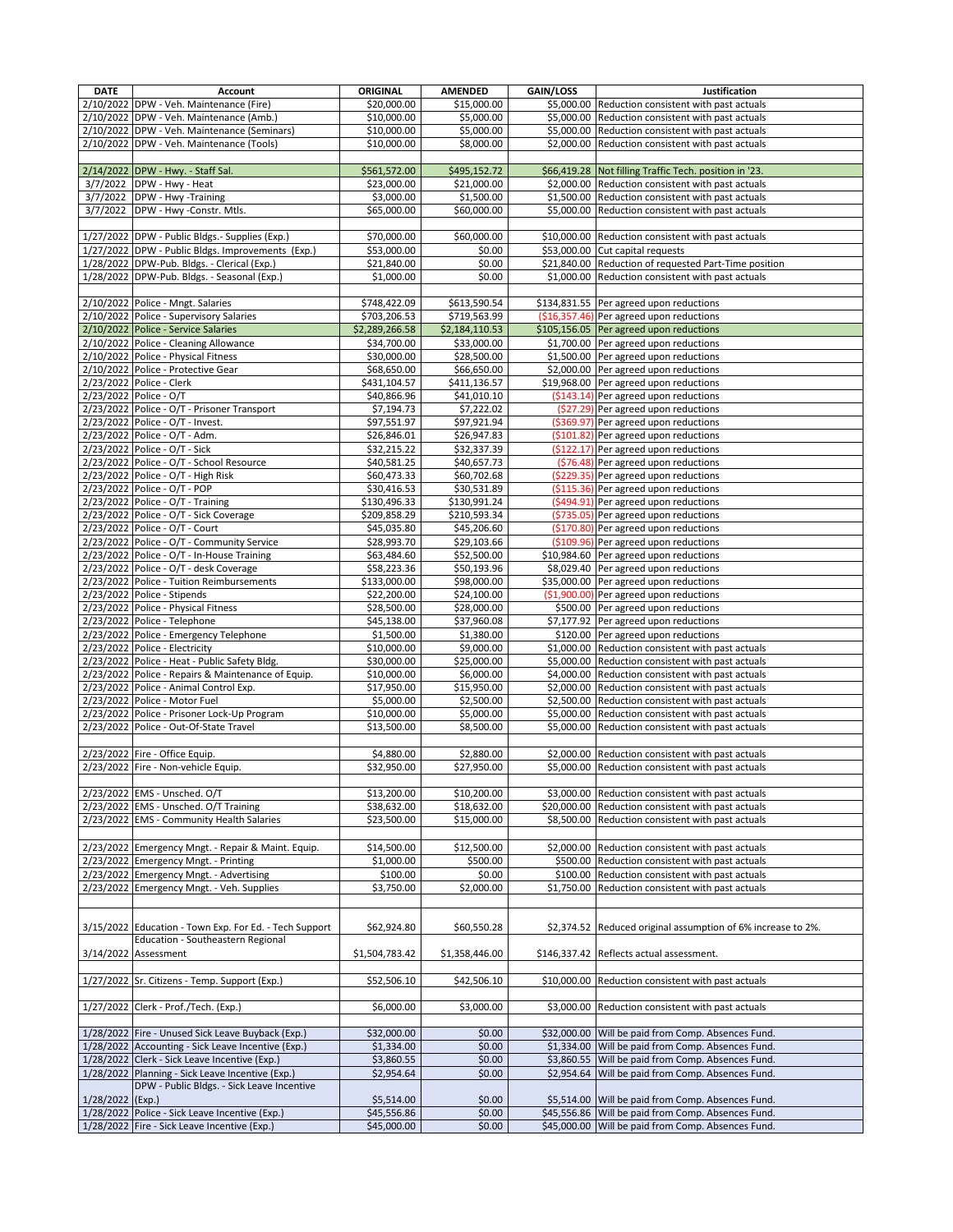| <b>DATE</b> | <b>Account</b>                                                                                 | <b>ORIGINAL</b>            | <b>AMENDED</b>             | GAIN/LOSS   | Justification                                                                  |
|-------------|------------------------------------------------------------------------------------------------|----------------------------|----------------------------|-------------|--------------------------------------------------------------------------------|
|             | 2/10/2022 DPW - Veh. Maintenance (Fire)                                                        | 520,000.00                 | \$15.000.00                |             | \$5,000.00 Reduction consistent with past actuals                              |
|             | 2/10/2022 DPW - Veh. Maintenance (Amb.)                                                        | \$10,000.00                | \$5,000.00                 |             | \$5,000.00 Reduction consistent with past actuals                              |
| 2/10/2022   | DPW - Veh. Maintenance (Seminars)                                                              | \$10,000.00                | \$5,000.00                 |             | \$5,000.00 Reduction consistent with past actuals                              |
|             | 2/10/2022 DPW - Veh. Maintenance (Tools)                                                       | \$10,000.00                | \$8,000.00                 |             | \$2,000.00 Reduction consistent with past actuals                              |
|             | 2/14/2022 DPW - Hwy. - Staff Sal.                                                              | \$561,572.00               | \$495,152.72               |             | \$66,419.28 Not filling Traffic Tech. position in '23.                         |
| 3/7/2022    | DPW - Hwy - Heat                                                                               | \$23,000.00                | \$21,000.00                |             | \$2,000.00 Reduction consistent with past actuals                              |
|             | 3/7/2022 DPW - Hwy -Training                                                                   | \$3,000.00                 | \$1,500.00                 |             | \$1,500.00 Reduction consistent with past actuals                              |
| 3/7/2022    | DPW - Hwy -Constr. Mtls.                                                                       | \$65,000.00                | \$60,000.00                |             | \$5,000.00 Reduction consistent with past actuals                              |
|             |                                                                                                |                            |                            |             |                                                                                |
|             | 1/27/2022 DPW - Public Bldgs - Supplies (Exp.)                                                 | \$70,000.00                | \$60,000.00                |             | \$10,000.00 Reduction consistent with past actuals                             |
|             | 1/27/2022 DPW - Public Bldgs. Improvements (Exp.)                                              | \$53,000.00                | \$0.00                     |             | \$53,000.00 Cut capital requests                                               |
|             | 1/28/2022 DPW-Pub. Bldgs. - Clerical (Exp.)                                                    | \$21,840.00                | \$0.00                     |             | \$21,840.00 Reduction of requested Part-Time position                          |
|             | 1/28/2022 DPW-Pub. Bldgs. - Seasonal (Exp.)                                                    | \$1,000.00                 | \$0.00                     |             | \$1,000.00 Reduction consistent with past actuals                              |
|             | 2/10/2022 Police - Mngt. Salaries                                                              | \$748,422.09               | \$613,590.54               |             | \$134,831.55 Per agreed upon reductions                                        |
|             | 2/10/2022 Police - Supervisory Salaries                                                        | \$703,206.53               | \$719,563.99               |             | $(§16,357.46)$ Per agreed upon reductions                                      |
|             | 2/10/2022 Police - Service Salaries                                                            | \$2,289,266.58             | \$2,184,110.53             |             | \$105,156.05 Per agreed upon reductions                                        |
|             | 2/10/2022 Police - Cleaning Allowance                                                          | \$34,700.00                | \$33,000.00                |             | \$1,700.00 Per agreed upon reductions                                          |
|             | 2/10/2022 Police - Physical Fitness                                                            | \$30,000.00                | \$28,500.00                |             | \$1,500.00 Per agreed upon reductions                                          |
|             | 2/10/2022 Police - Protective Gear                                                             | \$68,650.00                | \$66,650.00                |             | \$2,000.00 Per agreed upon reductions                                          |
|             | 2/23/2022 Police - Clerk                                                                       | \$431,104.57               | \$411,136.57               |             | \$19,968.00 Per agreed upon reductions                                         |
|             | 2/23/2022 Police - O/T                                                                         | \$40,866.96                | \$41,010.10                |             | (\$143.14) Per agreed upon reductions                                          |
|             | 2/23/2022 Police - O/T - Prisoner Transport                                                    | \$7,194.73                 | \$7,222.02                 |             | (\$27.29) Per agreed upon reductions                                           |
|             | 2/23/2022 Police - O/T - Invest.                                                               | \$97,551.97                | \$97,921.94                |             | (\$369.97) Per agreed upon reductions                                          |
|             | 2/23/2022 Police - O/T - Adm.<br>2/23/2022 Police - O/T - Sick                                 | \$26,846.01<br>\$32,215.22 | \$26,947.83<br>\$32,337.39 |             | (\$101.82) Per agreed upon reductions<br>(\$122.17) Per agreed upon reductions |
| 2/23/2022   | Police - O/T - School Resource                                                                 | \$40,581.25                | \$40,657.73                |             | (\$76.48) Per agreed upon reductions                                           |
|             | 2/23/2022 Police - O/T - High Risk                                                             | \$60,473.33                | \$60,702.68                |             | (\$229.35) Per agreed upon reductions                                          |
|             | 2/23/2022 Police - O/T - POP                                                                   | \$30,416.53                | \$30,531.89                |             | (\$115.36) Per agreed upon reductions                                          |
|             | 2/23/2022 Police - O/T - Training                                                              | \$130,496.33               | \$130,991.24               |             | (\$494.91) Per agreed upon reductions                                          |
|             | 2/23/2022 Police - O/T - Sick Coverage                                                         | \$209,858.29               | \$210,593.34               |             | (\$735.05) Per agreed upon reductions                                          |
|             | 2/23/2022 Police - O/T - Court                                                                 | \$45,035.80                | \$45,206.60                |             | (\$170.80) Per agreed upon reductions                                          |
|             | 2/23/2022 Police - O/T - Community Service                                                     | \$28,993.70                | \$29,103.66                |             | (\$109.96) Per agreed upon reductions                                          |
|             | 2/23/2022 Police - O/T - In-House Training                                                     | \$63,484.60                | \$52,500.00                |             | \$10,984.60 Per agreed upon reductions                                         |
|             | 2/23/2022 Police - O/T - desk Coverage                                                         | \$58,223.36                | \$50,193.96                |             | \$8,029.40 Per agreed upon reductions                                          |
|             | 2/23/2022 Police - Tuition Reimbursements                                                      | \$133,000.00               | \$98,000.00                |             | \$35,000.00 Per agreed upon reductions                                         |
|             | 2/23/2022 Police - Stipends<br>2/23/2022 Police - Physical Fitness                             | \$22,200.00<br>\$28,500.00 | \$24,100.00<br>\$28,000.00 |             | (\$1,900.00) Per agreed upon reductions<br>\$500.00 Per agreed upon reductions |
|             | 2/23/2022 Police - Telephone                                                                   | \$45,138.00                | \$37,960.08                |             | \$7,177.92 Per agreed upon reductions                                          |
|             | 2/23/2022 Police - Emergency Telephone                                                         | \$1,500.00                 | \$1,380.00                 |             | \$120.00 Per agreed upon reductions                                            |
|             | 2/23/2022 Police - Electricity                                                                 | \$10,000.00                | \$9,000.00                 |             | \$1,000.00 Reduction consistent with past actuals                              |
|             | 2/23/2022 Police - Heat - Public Safety Bldg.                                                  | \$30,000.00                | \$25,000.00                |             | \$5,000.00 Reduction consistent with past actuals                              |
|             | 2/23/2022 Police - Repairs & Maintenance of Equip.                                             | \$10,000.00                | \$6,000.00                 |             | \$4,000.00 Reduction consistent with past actuals                              |
|             | 2/23/2022 Police - Animal Control Exp.                                                         | \$17,950.00                | \$15,950.00                |             | \$2,000.00 Reduction consistent with past actuals                              |
|             | 2/23/2022 Police - Motor Fuel                                                                  | \$5,000.00                 | \$2,500.00                 |             | \$2,500.00 Reduction consistent with past actuals                              |
|             | 2/23/2022 Police - Prisoner Lock-Up Program                                                    | \$10,000.00                | \$5,000.00                 |             | \$5,000.00 Reduction consistent with past actuals                              |
|             | 2/23/2022 Police - Out-Of-State Travel                                                         | \$13,500.00                | \$8,500.00                 | \$5,000.00  | Reduction consistent with past actuals                                         |
|             | 2/23/2022 Fire - Office Equip.                                                                 | \$4,880.00                 | \$2,880.00                 |             | \$2,000.00 Reduction consistent with past actuals                              |
|             | 2/23/2022 Fire - Non-vehicle Equip.                                                            | \$32,950.00                | \$27,950.00                |             | \$5,000.00 Reduction consistent with past actuals                              |
|             |                                                                                                |                            |                            |             |                                                                                |
|             | 2/23/2022 EMS - Unsched. O/T                                                                   | \$13,200.00                | \$10,200.00                | \$3,000.00  | Reduction consistent with past actuals                                         |
|             | 2/23/2022 EMS - Unsched. O/T Training                                                          | \$38,632.00                | \$18,632.00                |             | \$20,000.00 Reduction consistent with past actuals                             |
|             | 2/23/2022 EMS - Community Health Salaries                                                      | \$23,500.00                | \$15,000.00                |             | \$8,500.00 Reduction consistent with past actuals                              |
|             |                                                                                                |                            |                            |             |                                                                                |
|             | 2/23/2022 Emergency Mngt. - Repair & Maint. Equip.                                             | \$14,500.00                | \$12,500.00                |             | \$2,000.00 Reduction consistent with past actuals                              |
|             | 2/23/2022 Emergency Mngt. - Printing                                                           | \$1,000.00                 | \$500.00                   |             | \$500.00 Reduction consistent with past actuals                                |
|             | 2/23/2022 Emergency Mngt. - Advertising                                                        | \$100.00                   | \$0.00                     |             | \$100.00 Reduction consistent with past actuals                                |
|             | 2/23/2022 Emergency Mngt. - Veh. Supplies                                                      | \$3,750.00                 | \$2,000.00                 |             | \$1,750.00 Reduction consistent with past actuals                              |
|             |                                                                                                |                            |                            |             |                                                                                |
|             | 3/15/2022 Education - Town Exp. For Ed. - Tech Support                                         | \$62,924.80                | \$60,550.28                |             | \$2,374.52 Reduced original assumption of 6% increase to 2%.                   |
|             | Education - Southeastern Regional                                                              |                            |                            |             |                                                                                |
| 3/14/2022   | Assessment                                                                                     | \$1,504,783.42             | \$1,358,446.00             |             | \$146,337.42 Reflects actual assessment.                                       |
|             |                                                                                                |                            |                            |             |                                                                                |
|             | 1/27/2022 Sr. Citizens - Temp. Support (Exp.)                                                  | \$52,506.10                | \$42,506.10                | \$10,000.00 | Reduction consistent with past actuals                                         |
|             |                                                                                                |                            |                            |             |                                                                                |
|             | 1/27/2022 Clerk - Prof./Tech. (Exp.)                                                           | \$6,000.00                 | \$3,000.00                 |             | \$3,000.00 Reduction consistent with past actuals                              |
|             |                                                                                                |                            |                            |             |                                                                                |
|             | 1/28/2022 Fire - Unused Sick Leave Buyback (Exp.)                                              | \$32,000.00                | \$0.00                     |             | \$32,000.00 Will be paid from Comp. Absences Fund.                             |
|             | 1/28/2022 Accounting - Sick Leave Incentive (Exp.)                                             | \$1,334.00                 | \$0.00                     |             | \$1,334.00 Will be paid from Comp. Absences Fund.                              |
|             | 1/28/2022 Clerk - Sick Leave Incentive (Exp.)                                                  | \$3,860.55                 | \$0.00                     |             | \$3,860.55 Will be paid from Comp. Absences Fund.                              |
|             | 1/28/2022 Planning - Sick Leave Incentive (Exp.)<br>DPW - Public Bldgs. - Sick Leave Incentive | \$2,954.64                 | \$0.00                     |             | \$2,954.64 Will be paid from Comp. Absences Fund.                              |
| 1/28/2022   | (Exp.)                                                                                         | \$5,514.00                 | \$0.00                     |             | \$5,514.00 Will be paid from Comp. Absences Fund.                              |
|             | 1/28/2022 Police - Sick Leave Incentive (Exp.)                                                 | \$45,556.86                | \$0.00                     |             | \$45,556.86 Will be paid from Comp. Absences Fund.                             |
|             | 1/28/2022 Fire - Sick Leave Incentive (Exp.)                                                   | \$45,000.00                | \$0.00                     |             | \$45,000.00 Will be paid from Comp. Absences Fund.                             |
|             |                                                                                                |                            |                            |             |                                                                                |